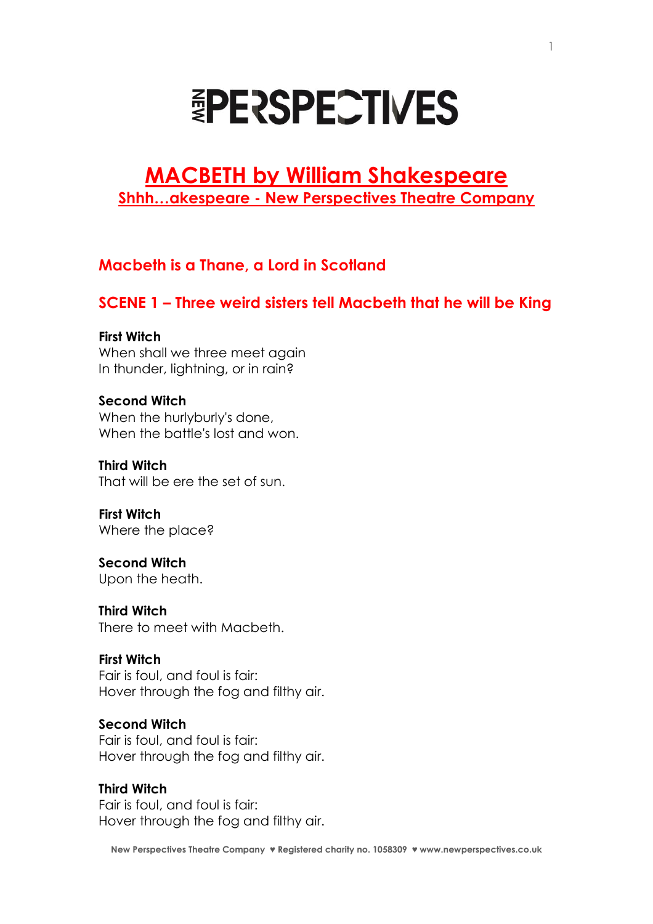# **EPERSPECTIVES**

# **MACBETH by William Shakespeare Shhh…akespeare - New Perspectives Theatre Company**

# **Macbeth is a Thane, a Lord in Scotland**

# **SCENE 1 – Three weird sisters tell Macbeth that he will be King**

# **First Witch**

When shall we three meet again In thunder, lightning, or in rain?

## **Second Witch**

When the hurlyburly's done, When the battle's lost and won.

**Third Witch**  That will be ere the set of sun.

**First Witch**  Where the place?

**Second Witch**  Upon the heath.

**Third Witch**  There to meet with Macbeth.

## **First Witch**

Fair is foul, and foul is fair: Hover through the fog and filthy air.

## **Second Witch**

Fair is foul, and foul is fair: Hover through the fog and filthy air.

## **Third Witch**

Fair is foul, and foul is fair: Hover through the fog and filthy air.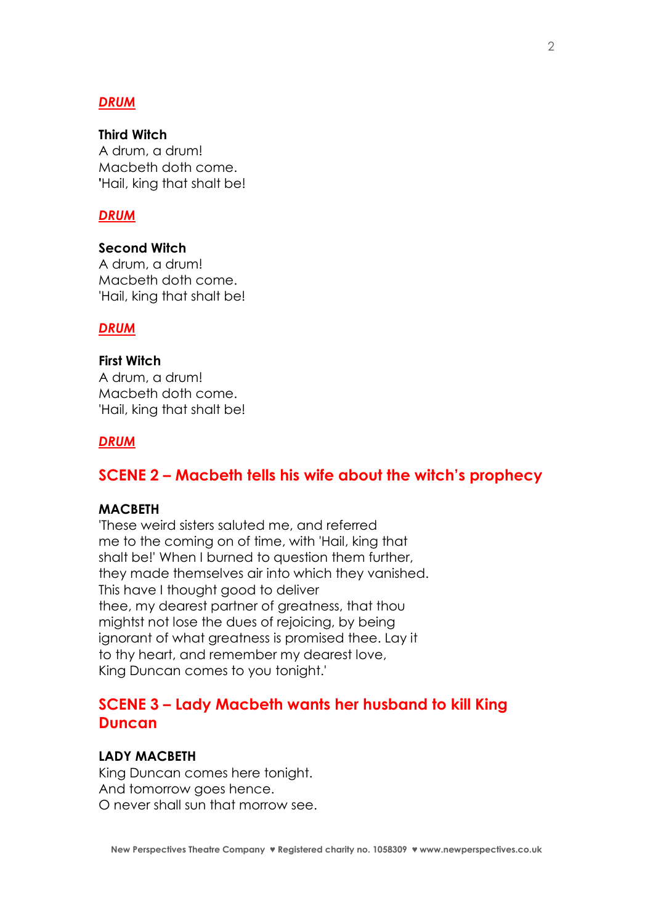## *DRUM*

#### **Third Witch**

A drum, a drum! Macbeth doth come. **'**Hail, king that shalt be!

#### *DRUM*

**Second Witch** A drum, a drum! Macbeth doth come. 'Hail, king that shalt be!

#### *DRUM*

## **First Witch**

A drum, a drum! Macbeth doth come. 'Hail, king that shalt be!

#### *DRUM*

# **SCENE 2 – Macbeth tells his wife about the witch's prophecy**

#### **MACBETH**

'These weird sisters saluted me, and referred me to the coming on of time, with 'Hail, king that shalt be!' When I burned to question them further, they made themselves air into which they vanished. This have I thought good to deliver thee, my dearest partner of greatness, that thou mightst not lose the dues of rejoicing, by being ignorant of what greatness is promised thee. Lay it to thy heart, and remember my dearest love, King Duncan comes to you tonight.'

# **SCENE 3 – Lady Macbeth wants her husband to kill King Duncan**

#### **LADY MACBETH**

King Duncan comes here tonight. And tomorrow goes hence. O never shall sun that morrow see.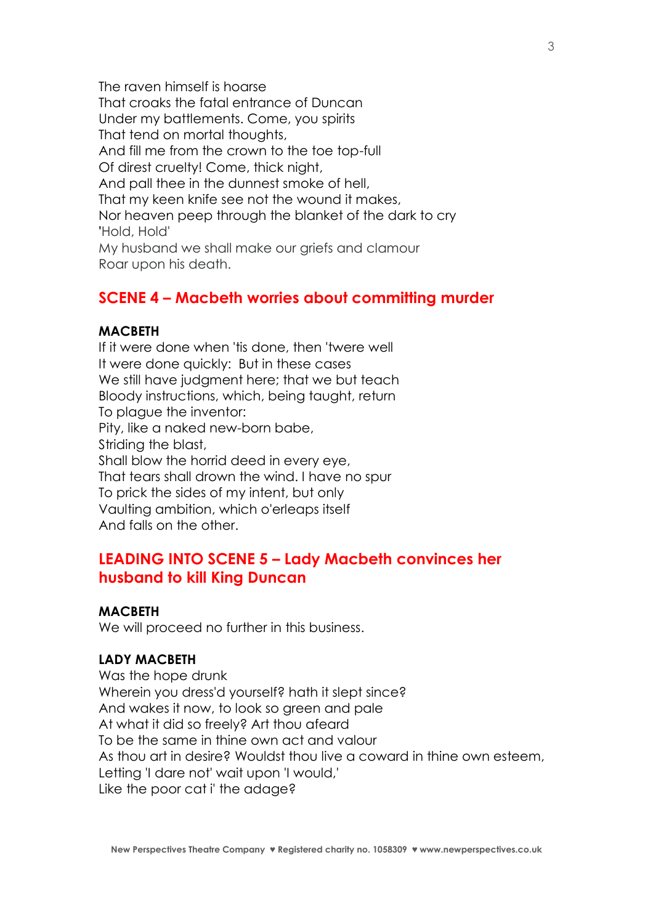The raven himself is hoarse That croaks the fatal entrance of Duncan Under my battlements. Come, you spirits That tend on mortal thoughts, And fill me from the crown to the toe top-full Of direst cruelty! Come, thick night, And pall thee in the dunnest smoke of hell, That my keen knife see not the wound it makes, Nor heaven peep through the blanket of the dark to cry **'**Hold, Hold' My husband we shall make our griefs and clamour Roar upon his death.

# **SCENE 4 – Macbeth worries about committing murder**

## **MACBETH**

If it were done when 'tis done, then 'twere well It were done quickly: But in these cases We still have judgment here; that we but teach Bloody instructions, which, being taught, return To plague the inventor: Pity, like a naked new-born babe, Striding the blast, Shall blow the horrid deed in every eye, That tears shall drown the wind. I have no spur To prick the sides of my intent, but only Vaulting ambition, which o'erleaps itself And falls on the other.

# **LEADING INTO SCENE 5 – Lady Macbeth convinces her husband to kill King Duncan**

#### **MACBETH**

We will proceed no further in this business.

#### **LADY MACBETH**

Was the hope drunk Wherein you dress'd yourself? hath it slept since? And wakes it now, to look so green and pale At what it did so freely? Art thou afeard To be the same in thine own act and valour As thou art in desire? Wouldst thou live a coward in thine own esteem, Letting 'I dare not' wait upon 'I would,' Like the poor cat i' the adage?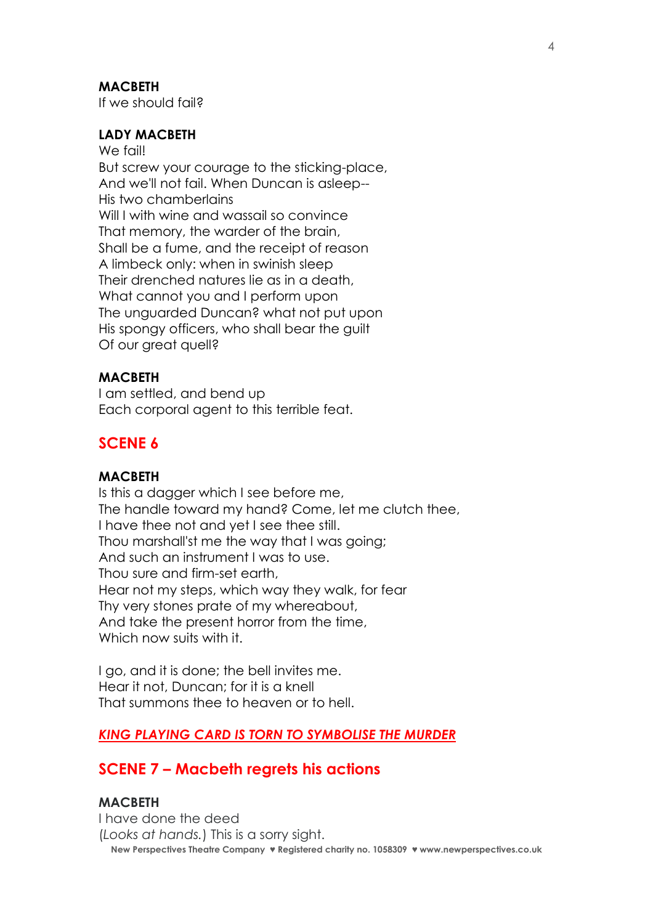#### **MACBETH**

If we should fail?

# **LADY MACBETH**

We fail! But screw your courage to the sticking-place, And we'll not fail. When Duncan is asleep-- His two chamberlains Will I with wine and wassail so convince That memory, the warder of the brain, Shall be a fume, and the receipt of reason A limbeck only: when in swinish sleep Their drenched natures lie as in a death, What cannot you and I perform upon The unguarded Duncan? what not put upon His spongy officers, who shall bear the guilt Of our great quell?

#### **MACBETH**

I am settled, and bend up Each corporal agent to this terrible feat.

# **SCENE 6**

### **MACBETH**

Is this a dagger which I see before me, The handle toward my hand? Come, let me clutch thee, I have thee not and yet I see thee still. Thou marshall'st me the way that I was going; And such an instrument I was to use. Thou sure and firm-set earth, Hear not my steps, which way they walk, for fear Thy very stones prate of my whereabout, And take the present horror from the time, Which now suits with it.

I go, and it is done; the bell invites me. Hear it not, Duncan; for it is a knell That summons thee to heaven or to hell.

#### *KING PLAYING CARD IS TORN TO SYMBOLISE THE MURDER*

## **SCENE 7 – Macbeth regrets his actions**

#### **MACBETH**

**New Perspectives Theatre Company ♥ Registered charity no. 1058309 ♥ www.newperspectives.co.uk** I have done the deed (*Looks at hands.*) This is a sorry sight.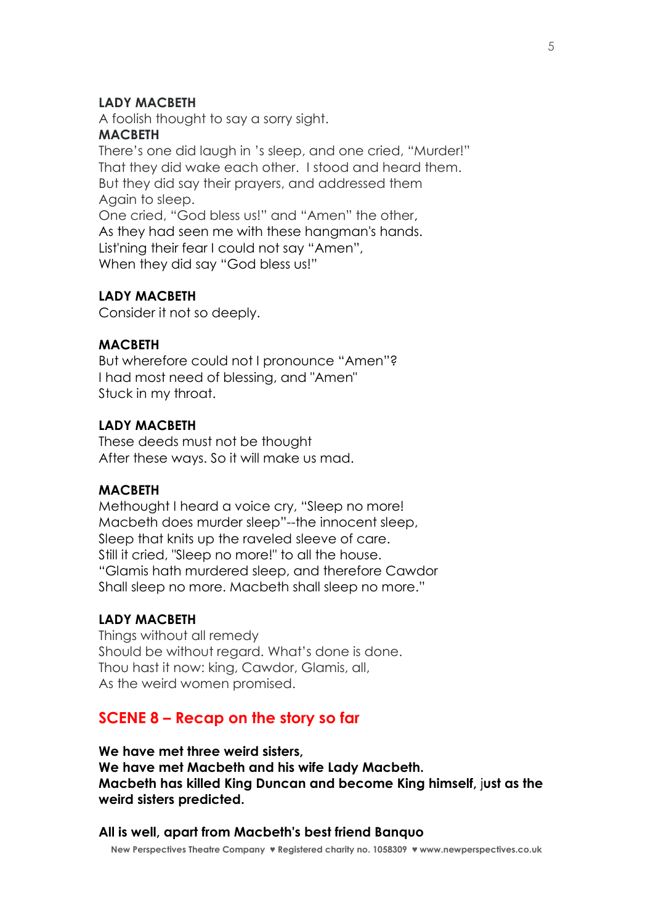#### **LADY MACBETH**

A foolish thought to say a sorry sight.

#### **MACBETH**

There's one did laugh in 's sleep, and one cried, "Murder!" That they did wake each other. I stood and heard them. But they did say their prayers, and addressed them Again to sleep. One cried, "God bless us!" and "Amen" the other, As they had seen me with these hangman's hands. List'ning their fear I could not say "Amen",

When they did say "God bless us!"

## **LADY MACBETH**

Consider it not so deeply.

#### **MACBETH**

But wherefore could not I pronounce "Amen"? I had most need of blessing, and "Amen" Stuck in my throat.

#### **LADY MACBETH**

These deeds must not be thought After these ways. So it will make us mad.

#### **MACBETH**

Methought I heard a voice cry, "Sleep no more! Macbeth does murder sleep"--the innocent sleep, Sleep that knits up the raveled sleeve of care. Still it cried, "Sleep no more!" to all the house. "Glamis hath murdered sleep, and therefore Cawdor Shall sleep no more. Macbeth shall sleep no more."

#### **LADY MACBETH**

Things without all remedy Should be without regard. What's done is done. Thou hast it now: king, Cawdor, Glamis, all, As the weird women promised.

#### **SCENE 8 – Recap on the story so far**

**We have met three weird sisters, We have met Macbeth and his wife Lady Macbeth. Macbeth has killed King Duncan and become King himself,** j**ust as the weird sisters predicted.**

**All is well, apart from Macbeth's best friend Banquo** 

**New Perspectives Theatre Company ♥ Registered charity no. 1058309 ♥ www.newperspectives.co.uk**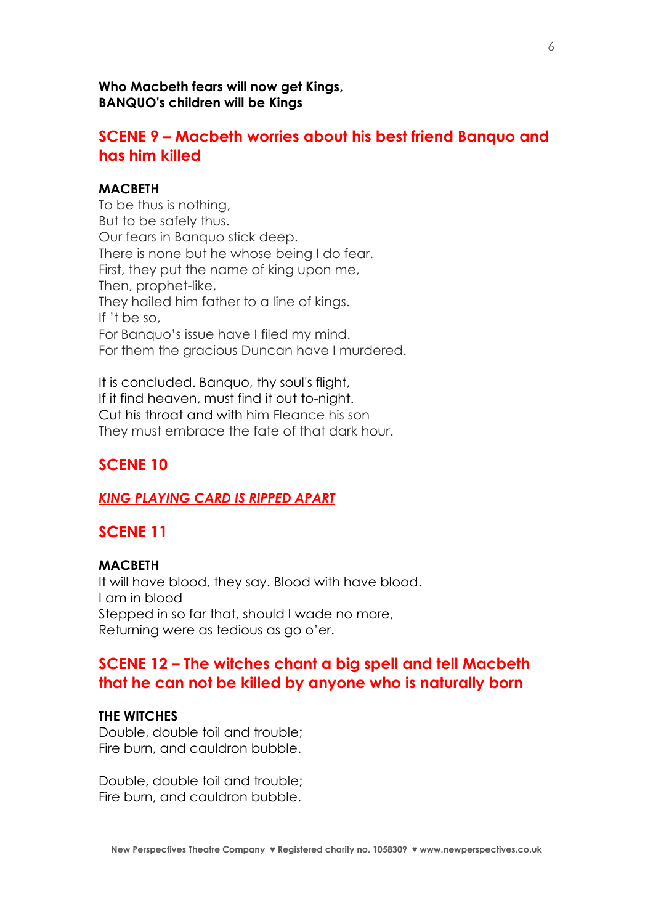#### **Who Macbeth fears will now get Kings, BANQUO's children will be Kings**

# **SCENE 9 – Macbeth worries about his best friend Banquo and has him killed**

#### **MACBETH**

To be thus is nothing, But to be safely thus. Our fears in Banquo stick deep. There is none but he whose being I do fear. First, they put the name of king upon me, Then, prophet-like, They hailed him father to a line of kings. If 't be so, For Banquo's issue have I filed my mind. For them the gracious Duncan have I murdered.

It is concluded. Banquo, thy soul's flight, If it find heaven, must find it out to-night. Cut his throat and with him Fleance his son They must embrace the fate of that dark hour.

# **SCENE 10**

#### *KING PLAYING CARD IS RIPPED APART*

# **SCENE 11**

#### **MACBETH**

It will have blood, they say. Blood with have blood. I am in blood Stepped in so far that, should I wade no more, Returning were as tedious as go o'er.

# **SCENE 12 – The witches chant a big spell and tell Macbeth that he can not be killed by anyone who is naturally born**

#### **THE WITCHES**

Double, double toil and trouble; Fire burn, and cauldron bubble.

Double, double toil and trouble; Fire burn, and cauldron bubble.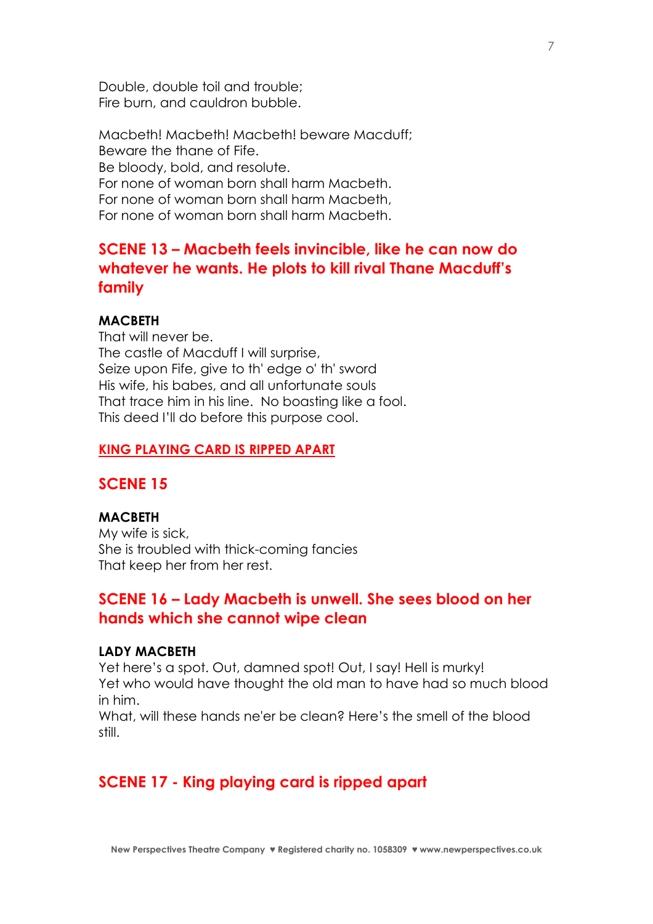Double, double toil and trouble; Fire burn, and cauldron bubble.

Macbeth! Macbeth! Macbeth! beware Macduff; Beware the thane of Fife. Be bloody, bold, and resolute. For none of woman born shall harm Macbeth. For none of woman born shall harm Macbeth, For none of woman born shall harm Macbeth.

# **SCENE 13 – Macbeth feels invincible, like he can now do whatever he wants. He plots to kill rival Thane Macduff's family**

#### **MACBETH**

That will never be. The castle of Macduff I will surprise, Seize upon Fife, give to th' edge o' th' sword His wife, his babes, and all unfortunate souls That trace him in his line. No boasting like a fool. This deed I'll do before this purpose cool.

#### **KING PLAYING CARD IS RIPPED APART**

## **SCENE 15**

## **MACBETH**

My wife is sick, She is troubled with thick-coming fancies That keep her from her rest.

# **SCENE 16 – Lady Macbeth is unwell. She sees blood on her hands which she cannot wipe clean**

#### **LADY MACBETH**

Yet here's a spot. Out, damned spot! Out, I say! Hell is murky! Yet who would have thought the old man to have had so much blood in him.

What, will these hands ne'er be clean? Here's the smell of the blood still.

#### **SCENE 17 - King playing card is ripped apart**